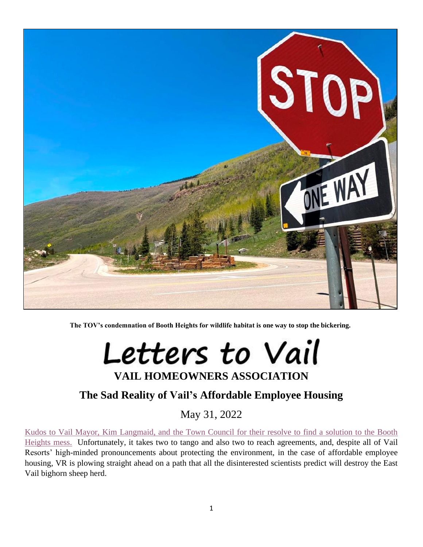

**The TOV's condemnation of Booth Heights for wildlife habitat is one way to stop the bickering.**

Letters to Vail **VAIL HOMEOWNERS ASSOCIATION**

## **The Sad Reality of Vail's Affordable Employee Housing**

May 31, 2022

[Kudos to Vail Mayor, Kim Langmaid, and the Town Council for their resolve to find a solution to the Booth](http://www.vailhomeowners.com/LangmaidletterVD052322.pdf)  [Heights mess.](http://www.vailhomeowners.com/LangmaidletterVD052322.pdf) Unfortunately, it takes two to tango and also two to reach agreements, and, despite all of Vail Resorts' high-minded pronouncements about protecting the environment, in the case of affordable employee housing, VR is plowing straight ahead on a path that all the disinterested scientists predict will destroy the East Vail bighorn sheep herd.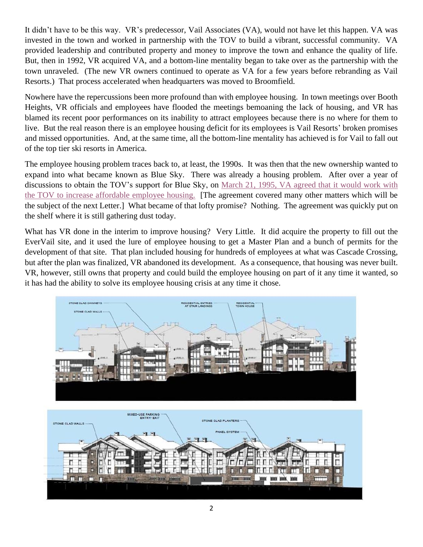It didn't have to be this way. VR's predecessor, Vail Associates (VA), would not have let this happen. VA was invested in the town and worked in partnership with the TOV to build a vibrant, successful community. VA provided leadership and contributed property and money to improve the town and enhance the quality of life. But, then in 1992, VR acquired VA, and a bottom-line mentality began to take over as the partnership with the town unraveled. (The new VR owners continued to operate as VA for a few years before rebranding as Vail Resorts.) That process accelerated when headquarters was moved to Broomfield.

Nowhere have the repercussions been more profound than with employee housing. In town meetings over Booth Heights, VR officials and employees have flooded the meetings bemoaning the lack of housing, and VR has blamed its recent poor performances on its inability to attract employees because there is no where for them to live. But the real reason there is an employee housing deficit for its employees is Vail Resorts' broken promises and missed opportunities. And, at the same time, all the bottom-line mentality has achieved is for Vail to fall out of the top tier ski resorts in America.

The employee housing problem traces back to, at least, the 1990s. It was then that the new ownership wanted to expand into what became known as Blue Sky. There was already a housing problem. After over a year of discussions to obtain the TOV's support for Blue Sky, on [March 21, 1995, VA agreed that it would work with](http://www.vailhomeowners.com/CATIIITOVVRI%20Agreement032195.pdf)  [the TOV to increase affordable employee housing.](http://www.vailhomeowners.com/CATIIITOVVRI%20Agreement032195.pdf) [The agreement covered many other matters which will be the subject of the next Letter.] What became of that lofty promise? Nothing. The agreement was quickly put on the shelf where it is still gathering dust today.

What has VR done in the interim to improve housing? Very Little. It did acquire the property to fill out the EverVail site, and it used the lure of employee housing to get a Master Plan and a bunch of permits for the development of that site. That plan included housing for hundreds of employees at what was Cascade Crossing, but after the plan was finalized, VR abandoned its development. As a consequence, that housing was never built. VR, however, still owns that property and could build the employee housing on part of it any time it wanted, so it has had the ability to solve its employee housing crisis at any time it chose.



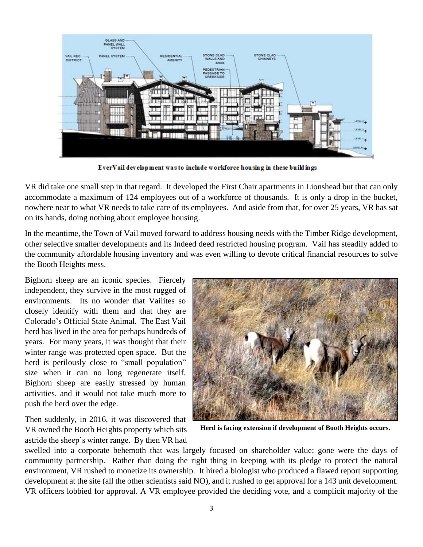

EverVail development was to include workforce housing in these buildings

VR did take one small step in that regard. It developed the First Chair apartments in Lionshead but that can only accommodate a maximum of 124 employees out of a workforce of thousands. It is only a drop in the bucket, nowhere near to what VR needs to take care of its employees. And aside from that, for over 25 years, VR has sat on its hands, doing nothing about employee housing.

In the meantime, the Town of Vail moved forward to address housing needs with the Timber Ridge development, other selective smaller developments and its Indeed deed restricted housing program. Vail has steadily added to the community affordable housing inventory and was even willing to devote critical financial resources to solve the Booth Heights mess.

Bighorn sheep are an iconic species. Fiercely independent, they survive in the most rugged of environments. Its no wonder that Vailites so closely identify with them and that they are Colorado's Official State Animal. The East Vail herd has lived in the area for perhaps hundreds of years. For many years, it was thought that their winter range was protected open space. But the herd is perilously close to "small population" size when it can no long regenerate itself. Bighorn sheep are easily stressed by human activities, and it would not take much more to push the herd over the edge.

Then suddenly, in 2016, it was discovered that VR owned the Booth Heights property which sits astride the sheep's winter range. By then VR had



**Herd is facing extension if development of Booth Heights occurs.**

swelled into a corporate behemoth that was largely focused on shareholder value; gone were the days of community partnership. Rather than doing the right thing in keeping with its pledge to protect the natural environment, VR rushed to monetize its ownership. It hired a biologist who produced a flawed report supporting development at the site (all the other scientists said NO), and it rushed to get approval for a 143 unit development. VR officers lobbied for approval. A VR employee provided the deciding vote, and a complicit majority of the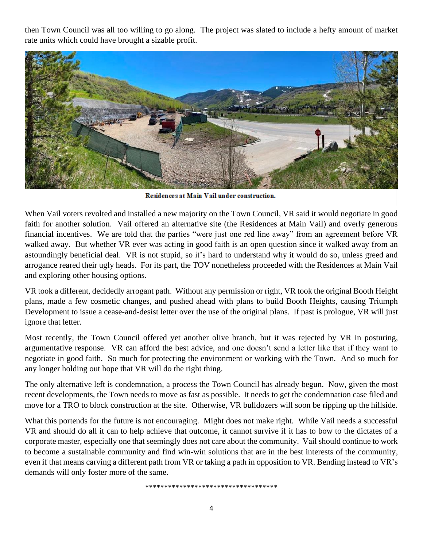then Town Council was all too willing to go along. The project was slated to include a hefty amount of market rate units which could have brought a sizable profit.



Residences at Main Vail under construction.

When Vail voters revolted and installed a new majority on the Town Council, VR said it would negotiate in good faith for another solution. Vail offered an alternative site (the Residences at Main Vail) and overly generous financial incentives. We are told that the parties "were just one red line away" from an agreement before VR walked away. But whether VR ever was acting in good faith is an open question since it walked away from an astoundingly beneficial deal. VR is not stupid, so it's hard to understand why it would do so, unless greed and arrogance reared their ugly heads. For its part, the TOV nonetheless proceeded with the Residences at Main Vail and exploring other housing options.

VR took a different, decidedly arrogant path. Without any permission or right, VR took the original Booth Height plans, made a few cosmetic changes, and pushed ahead with plans to build Booth Heights, causing Triumph Development to issue a cease-and-desist letter over the use of the original plans. If past is prologue, VR will just ignore that letter.

Most recently, the Town Council offered yet another olive branch, but it was rejected by VR in posturing, argumentative response. VR can afford the best advice, and one doesn't send a letter like that if they want to negotiate in good faith. So much for protecting the environment or working with the Town. And so much for any longer holding out hope that VR will do the right thing.

The only alternative left is condemnation, a process the Town Council has already begun. Now, given the most recent developments, the Town needs to move as fast as possible. It needs to get the condemnation case filed and move for a TRO to block construction at the site. Otherwise, VR bulldozers will soon be ripping up the hillside.

What this portends for the future is not encouraging. Might does not make right. While Vail needs a successful VR and should do all it can to help achieve that outcome, it cannot survive if it has to bow to the dictates of a corporate master, especially one that seemingly does not care about the community. Vail should continue to work to become a sustainable community and find win-win solutions that are in the best interests of the community, even if that means carving a different path from VR or taking a path in opposition to VR. Bending instead to VR's demands will only foster more of the same.

\*\*\*\*\*\*\*\*\*\*\*\*\*\*\*\*\*\*\*\*\*\*\*\*\*\*\*\*\*\*\*\*\*\*\*